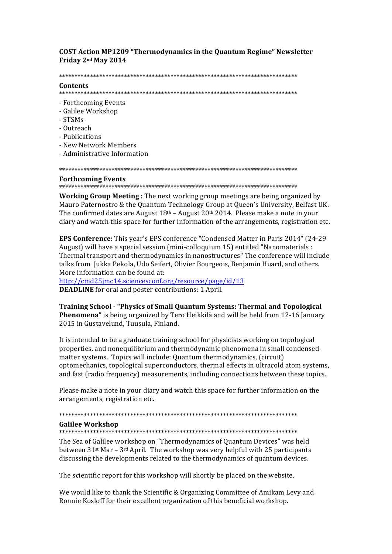**COST Action MP1209 "Thermodynamics in the Quantum Regime" Newsletter** Friday 2<sup>nd</sup> May 2014

# Contents

- Forthcoming Events
- Galilee Workshop
- $-STSMs$
- Outreach
- Publications
- New Network Members
- Administrative Information

# **Forthcoming Events**

Working Group Meeting: The next working group meetings are being organized by Mauro Paternostro & the Quantum Technology Group at Queen's University, Belfast UK. The confirmed dates are August  $18<sup>th</sup>$  – August  $20<sup>th</sup>$  2014. Please make a note in your diary and watch this space for further information of the arrangements, registration etc.

EPS Conference: This year's EPS conference "Condensed Matter in Paris 2014" (24-29 August) will have a special session (mini-colloquium 15) entitled "Nanomaterials : Thermal transport and thermodynamics in nanostructures" The conference will include talks from Jukka Pekola, Udo Seifert, Olivier Bourgeois, Benjamin Huard, and others. More information can be found at:

http://cmd25jmc14.sciencesconf.org/resource/page/id/13 **DEADLINE** for oral and poster contributions: 1 April.

**Training School - "Physics of Small Quantum Systems: Thermal and Topological** Phenomena" is being organized by Tero Heikkilä and will be held from 12-16 January 2015 in Gustavelund, Tuusula, Finland.

It is intended to be a graduate training school for physicists working on topological properties, and nonequilibrium and thermodynamic phenomena in small condensedmatter systems. Topics will include: Quantum thermodynamics, (circuit) optomechanics, topological superconductors, thermal effects in ultracold atom systems, and fast (radio frequency) measurements, including connections between these topics.

Please make a note in your diary and watch this space for further information on the arrangements, registration etc.

### **Galilee Workshop**

The Sea of Galilee workshop on "Thermodynamics of Quantum Devices" was held between  $31st$  Mar –  $3rd$  April. The workshop was very helpful with 25 participants discussing the developments related to the thermodynamics of quantum devices.

The scientific report for this workshop will shortly be placed on the website.

We would like to thank the Scientific & Organizing Committee of Amikam Levy and Ronnie Kosloff for their excellent organization of this beneficial workshop.